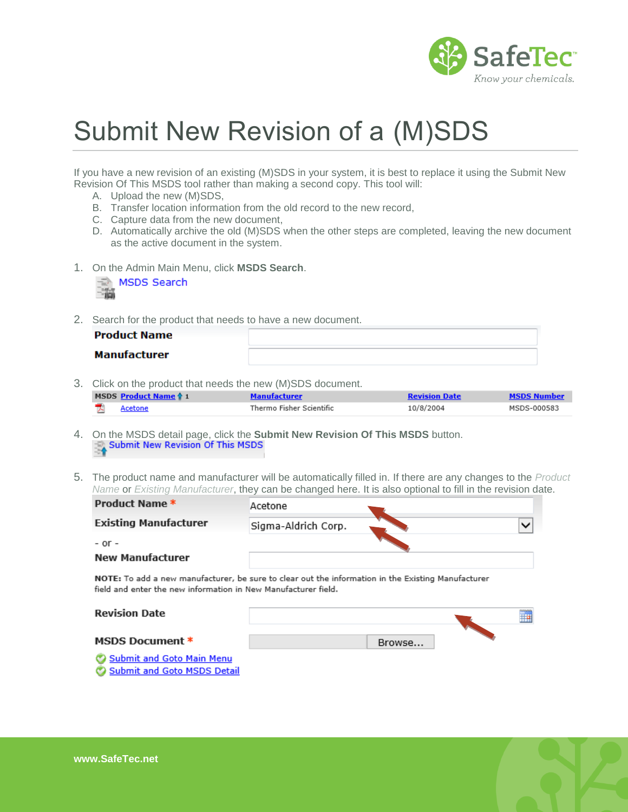

## Submit New Revision of a (M)SDS

If you have a new revision of an existing (M)SDS in your system, it is best to replace it using the Submit New Revision Of This MSDS tool rather than making a second copy. This tool will:

- A. Upload the new (M)SDS,
- B. Transfer location information from the old record to the new record,
- C. Capture data from the new document,
- D. Automatically archive the old (M)SDS when the other steps are completed, leaving the new document as the active document in the system.
- 1. On the Admin Main Menu, click **MSDS Search**.

|  | MSDS Search |
|--|-------------|
|  |             |

2. Search for the product that needs to have a new document.

| Product Name |  |
|--------------|--|
| Manufacturer |  |

3. Click on the product that needs the new (M)SDS document.

| MSDS Product Name 1 | Manutacturer             | <b>Revision Date</b> | <b>MSDS Number</b> |
|---------------------|--------------------------|----------------------|--------------------|
| Acetone             | Thermo Fisher Scientific | 10/8/2004            | MSDS-000583        |

- 4. On the MSDS detail page, click the **Submit New Revision Of This MSDS** button.
- 5. The product name and manufacturer will be automatically filled in. If there are any changes to the *Product Name* or *Existing Manufacturer*, they can be changed here. It is also optional to fill in the revision date.

| Product Name *                                                                                                                                                       | Acetone             |  |
|----------------------------------------------------------------------------------------------------------------------------------------------------------------------|---------------------|--|
| <b>Existing Manufacturer</b>                                                                                                                                         | Sigma-Aldrich Corp. |  |
| $-$ or $-$<br><b>New Manufacturer</b>                                                                                                                                |                     |  |
| NOTE: To add a new manufacturer, be sure to clear out the information in the Existing Manufacturer<br>field and enter the new information in New Manufacturer field. |                     |  |

| <b>Revision Date</b>                                            |        | 00000000<br>⊞ |
|-----------------------------------------------------------------|--------|---------------|
| <b>MSDS Document *</b>                                          | Browse |               |
| Submit and Goto Main Menu<br><b>Submit and Goto MSDS Detail</b> |        |               |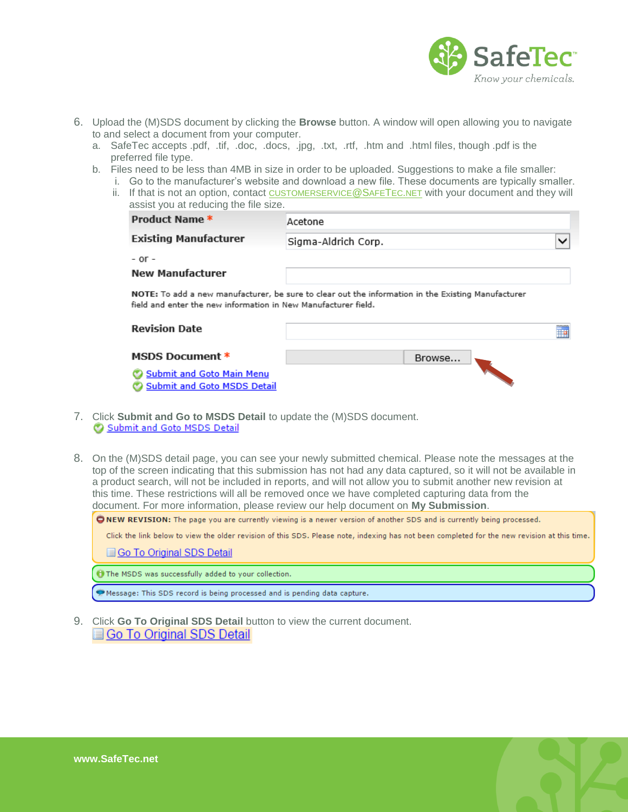

- 6. Upload the (M)SDS document by clicking the **Browse** button. A window will open allowing you to navigate to and select a document from your computer.
	- a. SafeTec accepts .pdf, .tif, .doc, .docs, .jpg, .txt, .rtf, .htm and .html files, though .pdf is the preferred file type.
	- b. Files need to be less than 4MB in size in order to be uploaded. Suggestions to make a file smaller:
		- i. Go to the manufacturer's website and download a new file. These documents are typically smaller. ii. If that is not an option, contact [CUSTOMERSERVICE](mailto:customerservice@safetec.net)@SAFETEC.NET with your document and they will assist you at reducing the file size.

| Product Name *                                                                         | Acetone                                                                                            |    |
|----------------------------------------------------------------------------------------|----------------------------------------------------------------------------------------------------|----|
| <b>Existing Manufacturer</b>                                                           | Sigma-Aldrich Corp.                                                                                |    |
| $-$ or $-$                                                                             |                                                                                                    |    |
| <b>New Manufacturer</b>                                                                |                                                                                                    |    |
|                                                                                        | NOTE: To add a new manufacturer, be sure to clear out the information in the Existing Manufacturer |    |
|                                                                                        |                                                                                                    |    |
| field and enter the new information in New Manufacturer field.<br><b>Revision Date</b> |                                                                                                    | ĦΗ |

Submit and Goto Main Menu

Submit and Goto MSDS Detail

- 7. Click **Submit and Go to MSDS Detail** to update the (M)SDS document.
- 8. On the (M)SDS detail page, you can see your newly submitted chemical. Please note the messages at the top of the screen indicating that this submission has not had any data captured, so it will not be available in a product search, will not be included in reports, and will not allow you to submit another new revision at this time. These restrictions will all be removed once we have completed capturing data from the document. For more information, please review our help document on **My Submission**.

ONEW REVISION: The page you are currently viewing is a newer version of another SDS and is currently being processed.

Click the link below to view the older revision of this SDS. Please note, indexing has not been completed for the new revision at this time.

Go To Original SDS Detail

The MSDS was successfully added to your collection.

Message: This SDS record is being processed and is pending data capture.

9. Click **Go To Original SDS Detail** button to view the current document.Go To Original SDS Detail